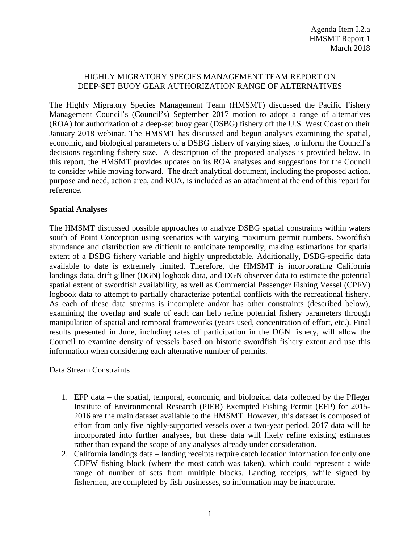#### HIGHLY MIGRATORY SPECIES MANAGEMENT TEAM REPORT ON DEEP-SET BUOY GEAR AUTHORIZATION RANGE OF ALTERNATIVES

The Highly Migratory Species Management Team (HMSMT) discussed the Pacific Fishery Management Council's (Council's) September 2017 motion to adopt a range of alternatives (ROA) for authorization of a deep-set buoy gear (DSBG) fishery off the U.S. West Coast on their January 2018 webinar. The HMSMT has discussed and begun analyses examining the spatial, economic, and biological parameters of a DSBG fishery of varying sizes, to inform the Council's decisions regarding fishery size. A description of the proposed analyses is provided below. In this report, the HMSMT provides updates on its ROA analyses and suggestions for the Council to consider while moving forward. The draft analytical document, including the proposed action, purpose and need, action area, and ROA, is included as an attachment at the end of this report for reference.

#### **Spatial Analyses**

The HMSMT discussed possible approaches to analyze DSBG spatial constraints within waters south of Point Conception using scenarios with varying maximum permit numbers. Swordfish abundance and distribution are difficult to anticipate temporally, making estimations for spatial extent of a DSBG fishery variable and highly unpredictable. Additionally, DSBG-specific data available to date is extremely limited. Therefore, the HMSMT is incorporating California landings data, drift gillnet (DGN) logbook data, and DGN observer data to estimate the potential spatial extent of swordfish availability, as well as Commercial Passenger Fishing Vessel (CPFV) logbook data to attempt to partially characterize potential conflicts with the recreational fishery. As each of these data streams is incomplete and/or has other constraints (described below), examining the overlap and scale of each can help refine potential fishery parameters through manipulation of spatial and temporal frameworks (years used, concentration of effort, etc.). Final results presented in June, including rates of participation in the DGN fishery, will allow the Council to examine density of vessels based on historic swordfish fishery extent and use this information when considering each alternative number of permits.

#### Data Stream Constraints

- 1. EFP data the spatial, temporal, economic, and biological data collected by the Pfleger Institute of Environmental Research (PIER) Exempted Fishing Permit (EFP) for 2015- 2016 are the main dataset available to the HMSMT. However, this dataset is composed of effort from only five highly-supported vessels over a two-year period. 2017 data will be incorporated into further analyses, but these data will likely refine existing estimates rather than expand the scope of any analyses already under consideration.
- 2. California landings data landing receipts require catch location information for only one CDFW fishing block (where the most catch was taken), which could represent a wide range of number of sets from multiple blocks. Landing receipts, while signed by fishermen, are completed by fish businesses, so information may be inaccurate.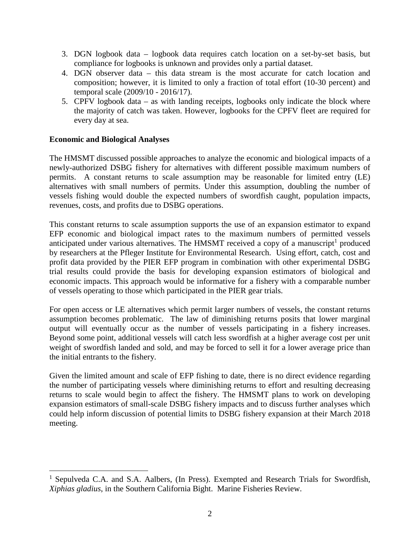- 3. DGN logbook data logbook data requires catch location on a set-by-set basis, but compliance for logbooks is unknown and provides only a partial dataset.
- 4. DGN observer data this data stream is the most accurate for catch location and composition; however, it is limited to only a fraction of total effort (10-30 percent) and temporal scale (2009/10 - 2016/17).
- 5. CPFV logbook data as with landing receipts, logbooks only indicate the block where the majority of catch was taken. However, logbooks for the CPFV fleet are required for every day at sea.

#### **Economic and Biological Analyses**

The HMSMT discussed possible approaches to analyze the economic and biological impacts of a newly-authorized DSBG fishery for alternatives with different possible maximum numbers of permits. A constant returns to scale assumption may be reasonable for limited entry (LE) alternatives with small numbers of permits. Under this assumption, doubling the number of vessels fishing would double the expected numbers of swordfish caught, population impacts, revenues, costs, and profits due to DSBG operations.

This constant returns to scale assumption supports the use of an expansion estimator to expand EFP economic and biological impact rates to the maximum numbers of permitted vessels anticipated under various alternatives. The HMSMT received a copy of a manuscript<sup>1</sup> produced by researchers at the Pfleger Institute for Environmental Research. Using effort, catch, cost and profit data provided by the PIER EFP program in combination with other experimental DSBG trial results could provide the basis for developing expansion estimators of biological and economic impacts. This approach would be informative for a fishery with a comparable number of vessels operating to those which participated in the PIER gear trials.

For open access or LE alternatives which permit larger numbers of vessels, the constant returns assumption becomes problematic. The law of diminishing returns posits that lower marginal output will eventually occur as the number of vessels participating in a fishery increases. Beyond some point, additional vessels will catch less swordfish at a higher average cost per unit weight of swordfish landed and sold, and may be forced to sell it for a lower average price than the initial entrants to the fishery.

Given the limited amount and scale of EFP fishing to date, there is no direct evidence regarding the number of participating vessels where diminishing returns to effort and resulting decreasing returns to scale would begin to affect the fishery. The HMSMT plans to work on developing expansion estimators of small-scale DSBG fishery impacts and to discuss further analyses which could help inform discussion of potential limits to DSBG fishery expansion at their March 2018 meeting.

<sup>&</sup>lt;sup>1</sup> Sepulveda C.A. and S.A. Aalbers, (In Press). Exempted and Research Trials for Swordfish, *Xiphias gladius*, in the Southern California Bight. Marine Fisheries Review.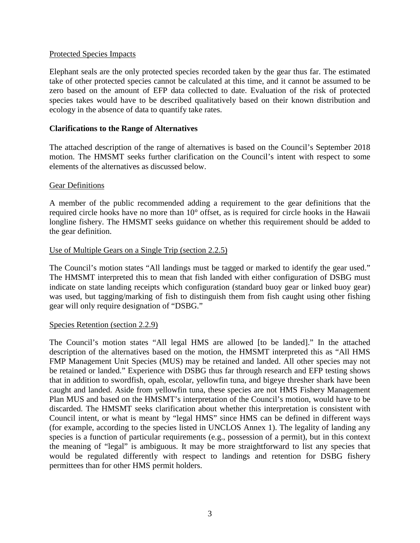#### Protected Species Impacts

Elephant seals are the only protected species recorded taken by the gear thus far. The estimated take of other protected species cannot be calculated at this time, and it cannot be assumed to be zero based on the amount of EFP data collected to date. Evaluation of the risk of protected species takes would have to be described qualitatively based on their known distribution and ecology in the absence of data to quantify take rates.

#### **Clarifications to the Range of Alternatives**

The attached description of the range of alternatives is based on the Council's September 2018 motion. The HMSMT seeks further clarification on the Council's intent with respect to some elements of the alternatives as discussed below.

#### Gear Definitions

A member of the public recommended adding a requirement to the gear definitions that the required circle hooks have no more than 10° offset, as is required for circle hooks in the Hawaii longline fishery. The HMSMT seeks guidance on whether this requirement should be added to the gear definition.

#### Use of Multiple Gears on a Single Trip (section 2.2.5)

The Council's motion states "All landings must be tagged or marked to identify the gear used." The HMSMT interpreted this to mean that fish landed with either configuration of DSBG must indicate on state landing receipts which configuration (standard buoy gear or linked buoy gear) was used, but tagging/marking of fish to distinguish them from fish caught using other fishing gear will only require designation of "DSBG."

#### Species Retention (section 2.2.9)

The Council's motion states "All legal HMS are allowed [to be landed]." In the attached description of the alternatives based on the motion, the HMSMT interpreted this as "All HMS FMP Management Unit Species (MUS) may be retained and landed. All other species may not be retained or landed." Experience with DSBG thus far through research and EFP testing shows that in addition to swordfish, opah, escolar, yellowfin tuna, and bigeye thresher shark have been caught and landed. Aside from yellowfin tuna, these species are not HMS Fishery Management Plan MUS and based on the HMSMT's interpretation of the Council's motion, would have to be discarded. The HMSMT seeks clarification about whether this interpretation is consistent with Council intent, or what is meant by "legal HMS" since HMS can be defined in different ways (for example, according to the species listed in UNCLOS Annex 1). The legality of landing any species is a function of particular requirements (e.g., possession of a permit), but in this context the meaning of "legal" is ambiguous. It may be more straightforward to list any species that would be regulated differently with respect to landings and retention for DSBG fishery permittees than for other HMS permit holders.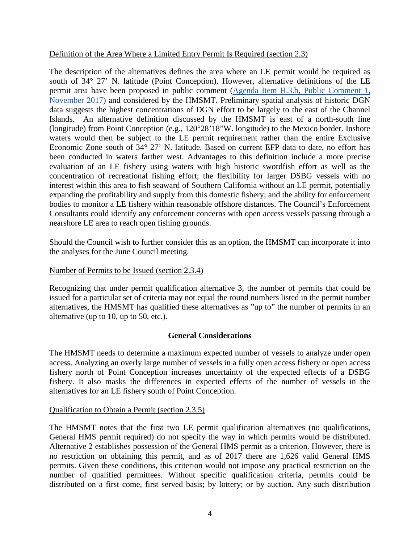#### Definition of the Area Where a Limited Entry Permit Is Required (section 2.3)

The description of the alternatives defines the area where an LE permit would be required as south of 34° 27' N. latitude (Point Conception). However, alternative definitions of the LE permit area have been proposed in public comment (Agenda Item H.3.b, Public Comment 1, November 2017) and considered by the HMSMT. Preliminary spatial analysis of historic DGN data suggests the highest concentrations of DGN effort to be largely to the east of the Channel Islands. An alternative definition discussed by the HMSMT is east of a north-south line (longitude) from Point Conception (e.g., 120°28'18"W. longitude) to the Mexico border. Inshore waters would then be subject to the LE permit requirement rather than the entire Exclusive Economic Zone south of 34° 27' N. latitude. Based on current EFP data to date, no effort has been conducted in waters farther west. Advantages to this definition include a more precise evaluation of an LE fishery using waters with high historic swordfish effort as well as the concentration of recreational fishing effort; the flexibility for larger DSBG vessels with no interest within this area to fish seaward of Southern California without an LE permit, potentially expanding the profitability and supply from this domestic fishery; and the ability for enforcement bodies to monitor a LE fishery within reasonable offshore distances. The Council's Enforcement Consultants could identify any enforcement concerns with open access vessels passing through a nearshore LE area to reach open fishing grounds.

Should the Council wish to further consider this as an option, the HMSMT can incorporate it into the analyses for the June Council meeting.

#### Number of Permits to be Issued (section 2.3.4)

Recognizing that under permit qualification alternative 3, the number of permits that could be issued for a particular set of criteria may not equal the round numbers listed in the permit number alternatives, the HMSMT has qualified these alternatives as "up to" the number of permits in an alternative (up to 10, up to 50, etc.).

#### **General Considerations**

The HMSMT needs to determine a maximum expected number of vessels to analyze under open access. Analyzing an overly large number of vessels in a fully open access fishery or open access fishery north of Point Conception increases uncertainty of the expected effects of a DSBG fishery. It also masks the differences in expected effects of the number of vessels in the alternatives for an LE fishery south of Point Conception.

#### Qualification to Obtain a Permit (section 2.3.5)

The HMSMT notes that the first two LE permit qualification alternatives (no qualifications, General HMS permit required) do not specify the way in which permits would be distributed. Alternative 2 establishes possession of the General HMS permit as a criterion. However, there is no restriction on obtaining this permit, and as of 2017 there are 1,626 valid General HMS permits. Given these conditions, this criterion would not impose any practical restriction on the number of qualified permittees. Without specific qualification criteria, permits could be distributed on a first come, first served basis; by lottery; or by auction. Any such distribution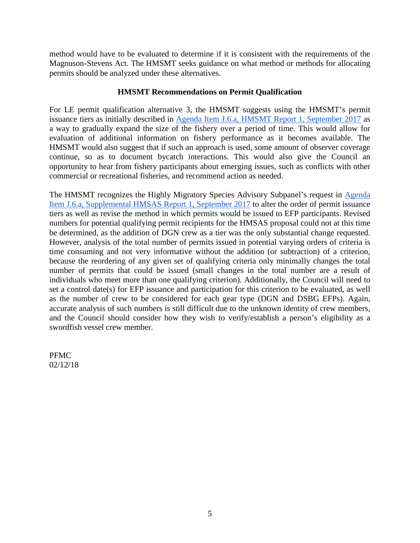method would have to be evaluated to determine if it is consistent with the requirements of the Magnuson-Stevens Act. The HMSMT seeks guidance on what method or methods for allocating permits should be analyzed under these alternatives.

#### **HMSMT Recommendations on Permit Qualification**

For LE permit qualification alternative 3, the HMSMT suggests using the HMSMT's permit issuance tiers as initially described in Agenda Item J.6.a, HMSMT Report 1, September 2017 as a way to gradually expand the size of the fishery over a period of time. This would allow for evaluation of additional information on fishery performance as it becomes available. The HMSMT would also suggest that if such an approach is used, some amount of observer coverage continue, so as to document bycatch interactions. This would also give the Council an opportunity to hear from fishery participants about emerging issues, such as conflicts with other commercial or recreational fisheries, and recommend action as needed.

The HMSMT recognizes the Highly Migratory Species Advisory Subpanel's request in Agenda Item J.6.a, Supplemental HMSAS Report 1, September 2017 to alter the order of permit issuance tiers as well as revise the method in which permits would be issued to EFP participants. Revised numbers for potential qualifying permit recipients for the HMSAS proposal could not at this time be determined, as the addition of DGN crew as a tier was the only substantial change requested. However, analysis of the total number of permits issued in potential varying orders of criteria is time consuming and not very informative without the addition (or subtraction) of a criterion, because the reordering of any given set of qualifying criteria only minimally changes the total number of permits that could be issued (small changes in the total number are a result of individuals who meet more than one qualifying criterion). Additionally, the Council will need to set a control date(s) for EFP issuance and participation for this criterion to be evaluated, as well as the number of crew to be considered for each gear type (DGN and DSBG EFPs). Again, accurate analysis of such numbers is still difficult due to the unknown identity of crew members, and the Council should consider how they wish to verify/establish a person's eligibility as a swordfish vessel crew member.

PFMC 02/12/18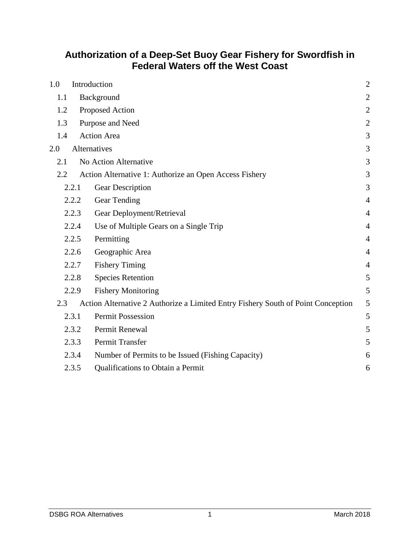# **Authorization of a Deep-Set Buoy Gear Fishery for Swordfish in Federal Waters off the West Coast**

| 1.0<br>Introduction |       |                                                                                  | $\mathbf{2}$   |
|---------------------|-------|----------------------------------------------------------------------------------|----------------|
| 1.1                 |       | Background                                                                       | $\mathbf{2}$   |
| 1.2                 |       | Proposed Action                                                                  | $\overline{2}$ |
| 1.3                 |       | Purpose and Need                                                                 | $\mathbf{2}$   |
| 1.4                 |       | <b>Action Area</b>                                                               | 3              |
| 2.0                 |       | Alternatives                                                                     | $\mathfrak{Z}$ |
| 2.1                 |       | No Action Alternative                                                            | 3              |
| 2.2                 |       | Action Alternative 1: Authorize an Open Access Fishery                           | 3              |
|                     | 2.2.1 | Gear Description                                                                 | 3              |
|                     | 2.2.2 | Gear Tending                                                                     | $\overline{4}$ |
|                     | 2.2.3 | Gear Deployment/Retrieval                                                        | $\overline{4}$ |
|                     | 2.2.4 | Use of Multiple Gears on a Single Trip                                           | $\overline{4}$ |
|                     | 2.2.5 | Permitting                                                                       | $\overline{4}$ |
|                     | 2.2.6 | Geographic Area                                                                  | $\overline{4}$ |
|                     | 2.2.7 | <b>Fishery Timing</b>                                                            | $\overline{4}$ |
|                     | 2.2.8 | <b>Species Retention</b>                                                         | 5              |
|                     | 2.2.9 | <b>Fishery Monitoring</b>                                                        | 5              |
| 2.3                 |       | Action Alternative 2 Authorize a Limited Entry Fishery South of Point Conception | 5              |
|                     | 2.3.1 | <b>Permit Possession</b>                                                         | 5              |
|                     | 2.3.2 | Permit Renewal                                                                   | 5              |
|                     | 2.3.3 | Permit Transfer                                                                  | 5              |
|                     | 2.3.4 | Number of Permits to be Issued (Fishing Capacity)                                | 6              |
|                     | 2.3.5 | Qualifications to Obtain a Permit                                                | 6              |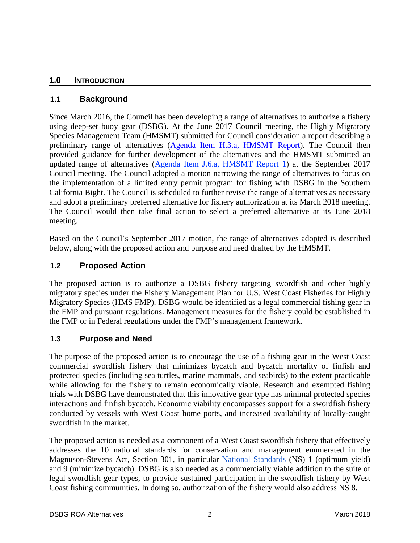### **1.0 INTRODUCTION**

### **1.1 Background**

Since March 2016, the Council has been developing a range of alternatives to authorize a fishery using deep-set buoy gear (DSBG). At the June 2017 Council meeting, the Highly Migratory Species Management Team (HMSMT) submitted for Council consideration a report describing a preliminary range of alternatives (Agenda Item H.3.a, HMSMT Report). The Council then provided guidance for further development of the alternatives and the HMSMT submitted an updated range of alternatives (Agenda Item J.6.a, HMSMT Report 1) at the September 2017 Council meeting. The Council adopted a motion narrowing the range of alternatives to focus on the implementation of a limited entry permit program for fishing with DSBG in the Southern California Bight. The Council is scheduled to further revise the range of alternatives as necessary and adopt a preliminary preferred alternative for fishery authorization at its March 2018 meeting. The Council would then take final action to select a preferred alternative at its June 2018 meeting.

Based on the Council's September 2017 motion, the range of alternatives adopted is described below, along with the proposed action and purpose and need drafted by the HMSMT.

### **1.2 Proposed Action**

The proposed action is to authorize a DSBG fishery targeting swordfish and other highly migratory species under the Fishery Management Plan for U.S. West Coast Fisheries for Highly Migratory Species (HMS FMP). DSBG would be identified as a legal commercial fishing gear in the FMP and pursuant regulations. Management measures for the fishery could be established in the FMP or in Federal regulations under the FMP's management framework.

#### **1.3 Purpose and Need**

The purpose of the proposed action is to encourage the use of a fishing gear in the West Coast commercial swordfish fishery that minimizes bycatch and bycatch mortality of finfish and protected species (including sea turtles, marine mammals, and seabirds) to the extent practicable while allowing for the fishery to remain economically viable. Research and exempted fishing trials with DSBG have demonstrated that this innovative gear type has minimal protected species interactions and finfish bycatch. Economic viability encompasses support for a swordfish fishery conducted by vessels with West Coast home ports, and increased availability of locally-caught swordfish in the market.

The proposed action is needed as a component of a West Coast swordfish fishery that effectively addresses the 10 national standards for conservation and management enumerated in the Magnuson-Stevens Act, Section 301, in particular National Standards (NS) 1 (optimum yield) and 9 (minimize bycatch). DSBG is also needed as a commercially viable addition to the suite of legal swordfish gear types, to provide sustained participation in the swordfish fishery by West Coast fishing communities. In doing so, authorization of the fishery would also address NS 8.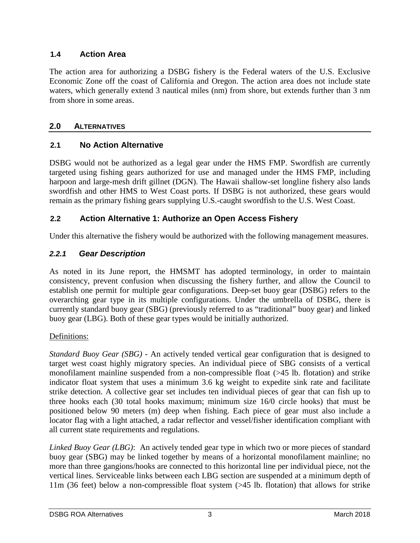### **1.4 Action Area**

The action area for authorizing a DSBG fishery is the Federal waters of the U.S. Exclusive Economic Zone off the coast of California and Oregon. The action area does not include state waters, which generally extend 3 nautical miles (nm) from shore, but extends further than 3 nm from shore in some areas.

### **2.0 ALTERNATIVES**

### **2.1 No Action Alternative**

DSBG would not be authorized as a legal gear under the HMS FMP. Swordfish are currently targeted using fishing gears authorized for use and managed under the HMS FMP, including harpoon and large-mesh drift gillnet (DGN). The Hawaii shallow-set longline fishery also lands swordfish and other HMS to West Coast ports. If DSBG is not authorized, these gears would remain as the primary fishing gears supplying U.S.-caught swordfish to the U.S. West Coast.

### **2.2 Action Alternative 1: Authorize an Open Access Fishery**

Under this alternative the fishery would be authorized with the following management measures.

### *2.2.1 Gear Description*

As noted in its June report, the HMSMT has adopted terminology, in order to maintain consistency, prevent confusion when discussing the fishery further, and allow the Council to establish one permit for multiple gear configurations. Deep-set buoy gear (DSBG) refers to the overarching gear type in its multiple configurations. Under the umbrella of DSBG, there is currently standard buoy gear (SBG) (previously referred to as "traditional" buoy gear) and linked buoy gear (LBG). Both of these gear types would be initially authorized.

#### Definitions:

*Standard Buoy Gear (SBG) -* An actively tended vertical gear configuration that is designed to target west coast highly migratory species. An individual piece of SBG consists of a vertical monofilament mainline suspended from a non-compressible float (>45 lb. flotation) and strike indicator float system that uses a minimum 3.6 kg weight to expedite sink rate and facilitate strike detection. A collective gear set includes ten individual pieces of gear that can fish up to three hooks each (30 total hooks maximum; minimum size 16/0 circle hooks) that must be positioned below 90 meters (m) deep when fishing. Each piece of gear must also include a locator flag with a light attached, a radar reflector and vessel/fisher identification compliant with all current state requirements and regulations.

*Linked Buoy Gear (LBG)*: An actively tended gear type in which two or more pieces of standard buoy gear (SBG) may be linked together by means of a horizontal monofilament mainline; no more than three gangions/hooks are connected to this horizontal line per individual piece, not the vertical lines. Serviceable links between each LBG section are suspended at a minimum depth of 11m (36 feet) below a non-compressible float system (>45 lb. flotation) that allows for strike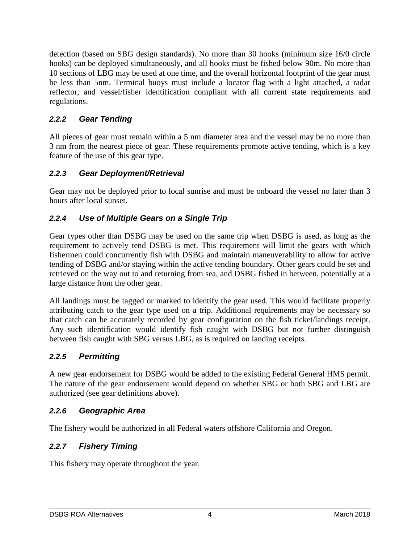detection (based on SBG design standards). No more than 30 hooks (minimum size 16/0 circle hooks) can be deployed simultaneously, and all hooks must be fished below 90m. No more than 10 sections of LBG may be used at one time, and the overall horizontal footprint of the gear must be less than 5nm. Terminal buoys must include a locator flag with a light attached, a radar reflector, and vessel/fisher identification compliant with all current state requirements and regulations.

# *2.2.2 Gear Tending*

All pieces of gear must remain within a 5 nm diameter area and the vessel may be no more than 3 nm from the nearest piece of gear. These requirements promote active tending, which is a key feature of the use of this gear type.

# *2.2.3 Gear Deployment/Retrieval*

Gear may not be deployed prior to local sunrise and must be onboard the vessel no later than 3 hours after local sunset.

# *2.2.4 Use of Multiple Gears on a Single Trip*

Gear types other than DSBG may be used on the same trip when DSBG is used, as long as the requirement to actively tend DSBG is met. This requirement will limit the gears with which fishermen could concurrently fish with DSBG and maintain maneuverability to allow for active tending of DSBG and/or staying within the active tending boundary. Other gears could be set and retrieved on the way out to and returning from sea, and DSBG fished in between, potentially at a large distance from the other gear.

All landings must be tagged or marked to identify the gear used. This would facilitate properly attributing catch to the gear type used on a trip. Additional requirements may be necessary so that catch can be accurately recorded by gear configuration on the fish ticket/landings receipt. Any such identification would identify fish caught with DSBG but not further distinguish between fish caught with SBG versus LBG, as is required on landing receipts.

# *2.2.5 Permitting*

A new gear endorsement for DSBG would be added to the existing Federal General HMS permit. The nature of the gear endorsement would depend on whether SBG or both SBG and LBG are authorized (see gear definitions above).

#### *2.2.6 Geographic Area*

The fishery would be authorized in all Federal waters offshore California and Oregon.

# *2.2.7 Fishery Timing*

This fishery may operate throughout the year.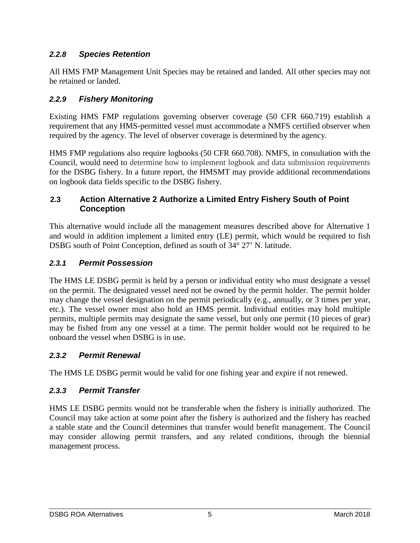# *2.2.8 Species Retention*

All HMS FMP Management Unit Species may be retained and landed. All other species may not be retained or landed.

### *2.2.9 Fishery Monitoring*

Existing HMS FMP regulations governing observer coverage (50 CFR 660.719) establish a requirement that any HMS-permitted vessel must accommodate a NMFS certified observer when required by the agency. The level of observer coverage is determined by the agency.

HMS FMP regulations also require logbooks (50 CFR 660.708). NMFS, in consultation with the Council, would need to determine how to implement logbook and data submission requirements for the DSBG fishery. In a future report, the HMSMT may provide additional recommendations on logbook data fields specific to the DSBG fishery.

### **2.3 Action Alternative 2 Authorize a Limited Entry Fishery South of Point Conception**

This alternative would include all the management measures described above for Alternative 1 and would in addition implement a limited entry (LE) permit, which would be required to fish DSBG south of Point Conception, defined as south of 34° 27' N. latitude.

### *2.3.1 Permit Possession*

The HMS LE DSBG permit is held by a person or individual entity who must designate a vessel on the permit. The designated vessel need not be owned by the permit holder. The permit holder may change the vessel designation on the permit periodically (e.g., annually, or 3 times per year, etc.). The vessel owner must also hold an HMS permit. Individual entities may hold multiple permits, multiple permits may designate the same vessel, but only one permit (10 pieces of gear) may be fished from any one vessel at a time. The permit holder would not be required to be onboard the vessel when DSBG is in use.

#### *2.3.2 Permit Renewal*

The HMS LE DSBG permit would be valid for one fishing year and expire if not renewed.

#### *2.3.3 Permit Transfer*

HMS LE DSBG permits would not be transferable when the fishery is initially authorized. The Council may take action at some point after the fishery is authorized and the fishery has reached a stable state and the Council determines that transfer would benefit management. The Council may consider allowing permit transfers, and any related conditions, through the biennial management process.